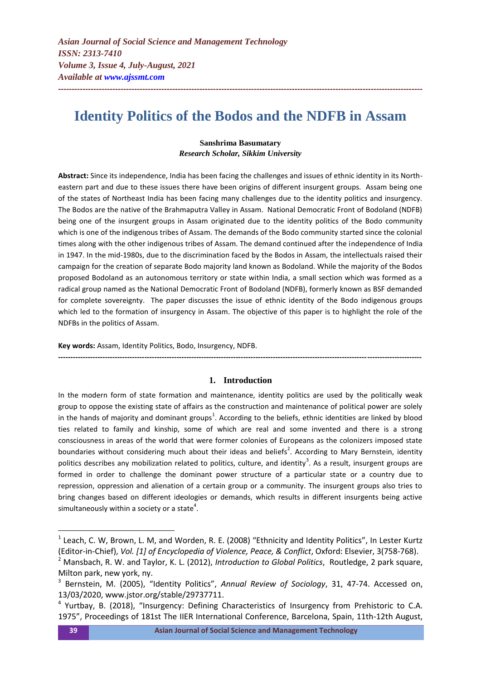# **Identity Politics of the Bodos and the NDFB in Assam**

**--------------------------------------------------------------------------------------------------------------------------------------**

## **Sanshrima Basumatary** *Research Scholar, Sikkim University*

**Abstract:** Since its independence, India has been facing the challenges and issues of ethnic identity in its Northeastern part and due to these issues there have been origins of different insurgent groups. Assam being one of the states of Northeast India has been facing many challenges due to the identity politics and insurgency. The Bodos are the native of the Brahmaputra Valley in Assam. National Democratic Front of Bodoland (NDFB) being one of the insurgent groups in Assam originated due to the identity politics of the Bodo community which is one of the indigenous tribes of Assam. The demands of the Bodo community started since the colonial times along with the other indigenous tribes of Assam. The demand continued after the independence of India in 1947. In the mid-1980s, due to the discrimination faced by the Bodos in Assam, the intellectuals raised their campaign for the creation of separate Bodo majority land known as Bodoland. While the majority of the Bodos proposed Bodoland as an autonomous territory or state within India, a small section which was formed as a radical group named as the National Democratic Front of Bodoland (NDFB), formerly known as BSF demanded for complete sovereignty. The paper discusses the issue of ethnic identity of the Bodo indigenous groups which led to the formation of insurgency in Assam. The objective of this paper is to highlight the role of the NDFBs in the politics of Assam.

**Key words:** Assam, Identity Politics, Bodo, Insurgency, NDFB.

## **1. Introduction**

**---------------------------------------------------------------------------------------------------------------------------------------------------**

In the modern form of state formation and maintenance, identity politics are used by the politically weak group to oppose the existing state of affairs as the construction and maintenance of political power are solely in the hands of majority and dominant groups<sup>1</sup>. According to the beliefs, ethnic identities are linked by blood ties related to family and kinship, some of which are real and some invented and there is a strong consciousness in areas of the world that were former colonies of Europeans as the colonizers imposed state boundaries without considering much about their ideas and beliefs<sup>2</sup>. According to Mary Bernstein, identity politics describes any mobilization related to politics, culture, and identity<sup>3</sup>. As a result, insurgent groups are formed in order to challenge the dominant power structure of a particular state or a country due to repression, oppression and alienation of a certain group or a community. The insurgent groups also tries to bring changes based on different ideologies or demands, which results in different insurgents being active simultaneously within a society or a state<sup>4</sup>.

<sup>&</sup>lt;sup>1</sup> Leach, C. W, Brown, L. M, and Worden, R. E. (2008) "Ethnicity and Identity Politics", In Lester Kurtz (Editor-in-Chief), *Vol. [1] of Encyclopedia of Violence, Peace, & Conflict*, Oxford: Elsevier, 3(758-768).

<sup>2</sup> Mansbach, R. W. and Taylor, K. L. (2012), *Introduction to Global Politics*, Routledge, 2 park square, Milton park, new york, ny.

<sup>3</sup> Bernstein, M. (2005), "Identity Politics", *Annual Review of Sociology*, 31, 47-74. Accessed on, 13/03/2020, www.jstor.org/stable/29737711.

<sup>&</sup>lt;sup>4</sup> Yurtbay, B. (2018), "Insurgency: Defining Characteristics of Insurgency from Prehistoric to C.A. 1975", Proceedings of 181st The IIER International Conference, Barcelona, Spain, 11th-12th August,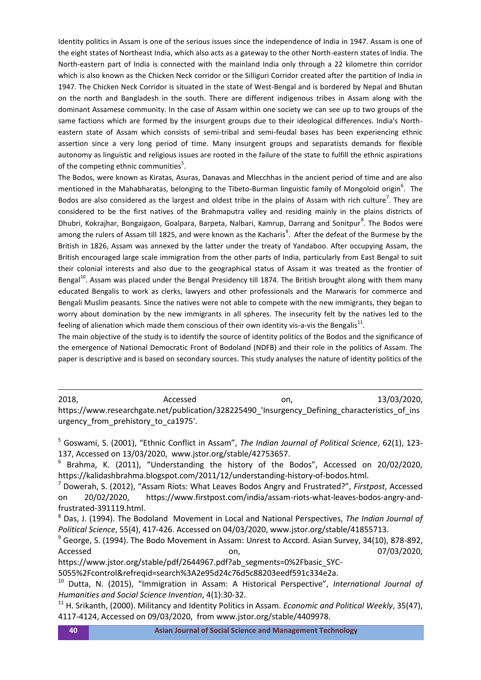Identity politics in Assam is one of the serious issues since the independence of India in 1947. Assam is one of the eight states of Northeast India, which also acts as a gateway to the other North-eastern states of India. The North-eastern part of India is connected with the mainland India only through a 22 kilometre thin corridor which is also known as the Chicken Neck corridor or the Silliguri Corridor created after the partition of India in 1947. The Chicken Neck Corridor is situated in the state of West-Bengal and is bordered by Nepal and Bhutan on the north and Bangladesh in the south. There are different indigenous tribes in Assam along with the dominant Assamese community. In the case of Assam within one society we can see up to two groups of the same factions which are formed by the insurgent groups due to their ideological differences. India's Northeastern state of Assam which consists of semi-tribal and semi-feudal bases has been experiencing ethnic assertion since a very long period of time. Many insurgent groups and separatists demands for flexible autonomy as linguistic and religious issues are rooted in the failure of the state to fulfill the ethnic aspirations of the competing ethnic communities<sup>5</sup>.

The Bodos, were known as Kiratas, Asuras, Danavas and Mlecchhas in the ancient period of time and are also mentioned in the Mahabharatas, belonging to the Tibeto-Burman linguistic family of Mongoloid origin<sup>6</sup>. The Bodos are also considered as the largest and oldest tribe in the plains of Assam with rich culture<sup>7</sup>. They are considered to be the first natives of the Brahmaputra valley and residing mainly in the plains districts of Dhubri, Kokrajhar, Bongaigaon, Goalpara, Barpeta, Nalbari, Kamrup, Darrang and Sonitpur<sup>8</sup>. The Bodos were among the rulers of Assam till 1825, and were known as the Kacharis<sup>9</sup>. After the defeat of the Burmese by the British in 1826, Assam was annexed by the latter under the treaty of Yandaboo. After occupying Assam, the British encouraged large scale immigration from the other parts of India, particularly from East Bengal to suit their colonial interests and also due to the geographical status of Assam it was treated as the frontier of Bengal<sup>10</sup>. Assam was placed under the Bengal Presidency till 1874. The British brought along with them many educated Bengalis to work as clerks, lawyers and other professionals and the Marwaris for commerce and Bengali Muslim peasants. Since the natives were not able to compete with the new immigrants, they began to worry about domination by the new immigrants in all spheres. The insecurity felt by the natives led to the feeling of alienation which made them conscious of their own identity vis-a-vis the Bengalis<sup>11</sup>.

The main objective of the study is to identify the source of identity politics of the Bodos and the significance of the emergence of National Democratic Front of Bodoland (NDFB) and their role in the politics of Assam. The paper is descriptive and is based on secondary sources. This study analyses the nature of identity politics of the

2018, 2018, Accessed on, 2018, 2020, 2020, 2020, 2020, 2020, 2020, 2020, 2020, 2020, 2020, 2020, 2020, 2020, 20 https://www.researchgate.net/publication/328225490\_'Insurgency\_Defining\_characteristics\_of\_ins urgency\_from\_prehistory\_to\_ca1975'.

https://www.jstor.org/stable/pdf/2644967.pdf?ab\_segments=0%2Fbasic\_SYC-5055%2Fcontrol&refreqid=search%3A2e95d24c76d5c88203eedf591c334e2a.

<sup>5</sup> Goswami, S. (2001), "Ethnic Conflict in Assam", *The Indian Journal of Political Science*, 62(1), 123- 137, Accessed on 13/03/2020, www.jstor.org/stable/42753657.

<sup>6</sup> Brahma, K. (2011), "Understanding the history of the Bodos", Accessed on 20/02/2020, https://kalidashbrahma.blogspot.com/2011/12/understanding-history-of-bodos.html.

<sup>7</sup> Dowerah, S. (2012), "Assam Riots: What Leaves Bodos Angry and Frustrated?", *Firstpost*, Accessed on 20/02/2020, https://www.firstpost.com/india/assam-riots-what-leaves-bodos-angry-andfrustrated-391119.html.

<sup>8</sup> Das, J. (1994). The Bodoland Movement in Local and National Perspectives, *The Indian Journal of Political Science*, 55(4), 417-426. Accessed on 04/03/2020, www.jstor.org/stable/41855713.

<sup>&</sup>lt;sup>9</sup> George, S. (1994). The Bodo Movement in Assam: Unrest to Accord. Asian Survey, 34(10), 878-892, Accessed **on,** 07/03/2020,

<sup>10</sup> Dutta, N. (2015), "Immigration in Assam: A Historical Perspective", *International Journal of Humanities and Social Science Invention*, 4(1):30-32.

<sup>11</sup> H. Srikanth, (2000). Militancy and Identity Politics in Assam. *Economic and Political Weekly*, 35(47), 4117-4124, Accessed on 09/03/2020, from www.jstor.org/stable/4409978.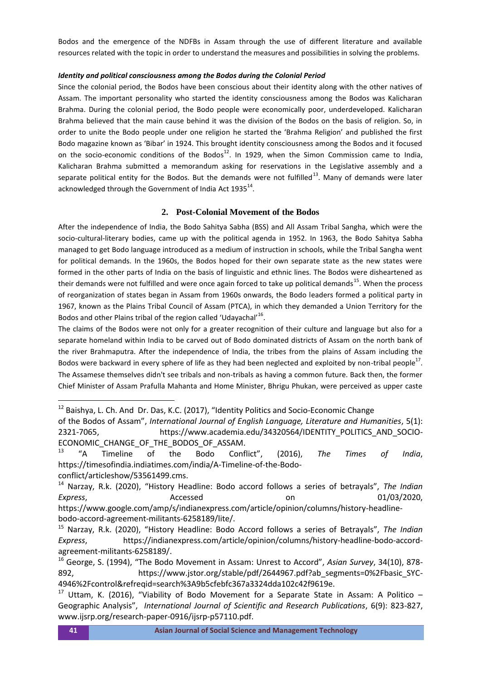Bodos and the emergence of the NDFBs in Assam through the use of different literature and available resources related with the topic in order to understand the measures and possibilities in solving the problems.

#### *Identity and political consciousness among the Bodos during the Colonial Period*

Since the colonial period, the Bodos have been conscious about their identity along with the other natives of Assam. The important personality who started the identity consciousness among the Bodos was Kalicharan Brahma. During the colonial period, the Bodo people were economically poor, underdeveloped. Kalicharan Brahma believed that the main cause behind it was the division of the Bodos on the basis of religion. So, in order to unite the Bodo people under one religion he started the 'Brahma Religion' and published the first Bodo magazine known as 'Bibar' in 1924. This brought identity consciousness among the Bodos and it focused on the socio-economic conditions of the Bodos<sup>12</sup>. In 1929, when the Simon Commission came to India, Kalicharan Brahma submitted a memorandum asking for reservations in the Legislative assembly and a separate political entity for the Bodos. But the demands were not fulfilled $^{13}$ . Many of demands were later acknowledged through the Government of India Act  $1935^{14}$ .

#### **2. Post-Colonial Movement of the Bodos**

After the independence of India, the Bodo Sahitya Sabha (BSS) and All Assam Tribal Sangha, which were the socio-cultural-literary bodies, came up with the political agenda in 1952. In 1963, the Bodo Sahitya Sabha managed to get Bodo language introduced as a medium of instruction in schools, while the Tribal Sangha went for political demands. In the 1960s, the Bodos hoped for their own separate state as the new states were formed in the other parts of India on the basis of linguistic and ethnic lines. The Bodos were disheartened as their demands were not fulfilled and were once again forced to take up political demands<sup>15</sup>. When the process of reorganization of states began in Assam from 1960s onwards, the Bodo leaders formed a political party in 1967, known as the Plains Tribal Council of Assam (PTCA), in which they demanded a Union Territory for the Bodos and other Plains tribal of the region called 'Udayachal'<sup>16</sup>.

The claims of the Bodos were not only for a greater recognition of their culture and language but also for a separate homeland within India to be carved out of Bodo dominated districts of Assam on the north bank of the river Brahmaputra. After the independence of India, the tribes from the plains of Assam including the Bodos were backward in every sphere of life as they had been neglected and exploited by non-tribal people<sup>17</sup>. The Assamese themselves didn't see tribals and non-tribals as having a common future. Back then, the former Chief Minister of Assam Prafulla Mahanta and Home Minister, Bhrigu Phukan, were perceived as upper caste

<sup>&</sup>lt;sup>12</sup> Baishya, L. Ch. And Dr. Das, K.C. (2017), "Identity Politics and Socio-Economic Change

of the Bodos of Assam", *International Journal of English Language, Literature and Humanities*, 5(1): 2321-7065, https://www.academia.edu/34320564/IDENTITY\_POLITICS\_AND\_SOCIO-ECONOMIC\_CHANGE\_OF\_THE\_BODOS\_OF\_ASSAM.

<sup>13</sup> "A Timeline of the Bodo Conflict", (2016), *The Times of India*, https://timesofindia.indiatimes.com/india/A-Timeline-of-the-Bodoconflict/articleshow/53561499.cms.

<sup>14</sup> Narzay, R.k. (2020), "History Headline: Bodo accord follows a series of betrayals", *The Indian Express*, Accessed on 01/03/2020, https://www.google.com/amp/s/indianexpress.com/article/opinion/columns/history-headlinebodo-accord-agreement-militants-6258189/lite/.

<sup>15</sup> Narzay, R.k. (2020), "History Headline: Bodo Accord follows a series of Betrayals", *The Indian Express*, https://indianexpress.com/article/opinion/columns/history-headline-bodo-accordagreement-militants-6258189/.

<sup>16</sup> George, S. (1994), "The Bodo Movement in Assam: Unrest to Accord", *Asian Survey*, 34(10), 878- 892, https://www.jstor.org/stable/pdf/2644967.pdf?ab\_segments=0%2Fbasic\_SYC-4946%2Fcontrol&refreqid=search%3A9b5cfebfc367a3324dda102c42f9619e.

<sup>&</sup>lt;sup>17</sup> Uttam, K. (2016), "Viability of Bodo Movement for a Separate State in Assam: A Politico – Geographic Analysis", *International Journal of Scientific and Research Publications*, 6(9): 823-827, www.ijsrp.org/research-paper-0916/ijsrp-p57110.pdf.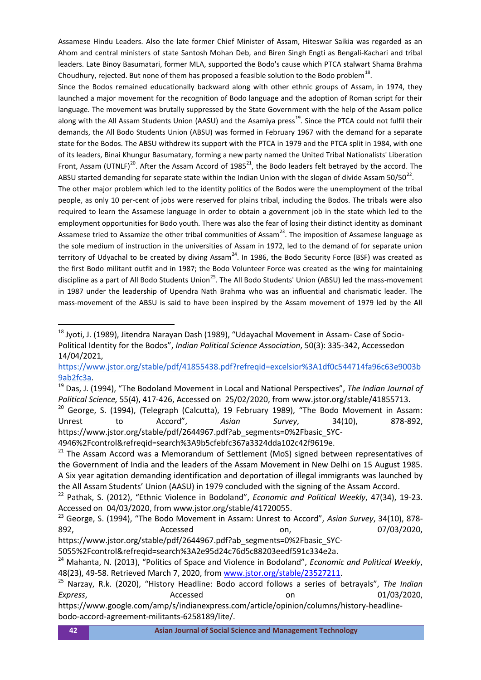Assamese Hindu Leaders. Also the late former Chief Minister of Assam, Hiteswar Saikia was regarded as an Ahom and central ministers of state Santosh Mohan Deb, and Biren Singh Engti as Bengali-Kachari and tribal leaders. Late Binoy Basumatari, former MLA, supported the Bodo's cause which PTCA stalwart Shama Brahma Choudhury, rejected. But none of them has proposed a feasible solution to the Bodo problem<sup>18</sup>.

Since the Bodos remained educationally backward along with other ethnic groups of Assam, in 1974, they launched a major movement for the recognition of Bodo language and the adoption of Roman script for their language. The movement was brutally suppressed by the State Government with the help of the Assam police along with the All Assam Students Union (AASU) and the Asamiya press<sup>19</sup>. Since the PTCA could not fulfil their demands, the All Bodo Students Union (ABSU) was formed in February 1967 with the demand for a separate state for the Bodos. The ABSU withdrew its support with the PTCA in 1979 and the PTCA split in 1984, with one of its leaders, Binai Khungur Basumatary, forming a new party named the United Tribal Nationalists' Liberation Front, Assam (UTNLF)<sup>20</sup>. After the Assam Accord of 1985<sup>21</sup>, the Bodo leaders felt betrayed by the accord. The ABSU started demanding for separate state within the Indian Union with the slogan of divide Assam 50/50<sup>22</sup>.

The other major problem which led to the identity politics of the Bodos were the unemployment of the tribal people, as only 10 per-cent of jobs were reserved for plains tribal, including the Bodos. The tribals were also required to learn the Assamese language in order to obtain a government job in the state which led to the employment opportunities for Bodo youth. There was also the fear of losing their distinct identity as dominant Assamese tried to Assamize the other tribal communities of Assam<sup>23</sup>. The imposition of Assamese language as the sole medium of instruction in the universities of Assam in 1972, led to the demand of for separate union territory of Udyachal to be created by diving Assam<sup>24</sup>. In 1986, the Bodo Security Force (BSF) was created as the first Bodo militant outfit and in 1987; the Bodo Volunteer Force was created as the wing for maintaining discipline as a part of All Bodo Students Union<sup>25</sup>. The All Bodo Students' Union (ABSU) led the mass-movement in 1987 under the leadership of Upendra Nath Brahma who was an influential and charismatic leader. The mass-movement of the ABSU is said to have been inspired by the Assam movement of 1979 led by the All

4946%2Fcontrol&refreqid=search%3A9b5cfebfc367a3324dda102c42f9619e.

1

<sup>18</sup> Jyoti, J. (1989), Jitendra Narayan Dash (1989), "Udayachal Movement in Assam- Case of Socio-Political Identity for the Bodos", *Indian Political Science Association*, 50(3): 335-342, Accessedon 14/04/2021,

[https://www.jstor.org/stable/pdf/41855438.pdf?refreqid=excelsior%3A1df0c544714fa96c63e9003b](https://www.jstor.org/stable/pdf/41855438.pdf?refreqid=excelsior%3A1df0c544714fa96c63e9003b9ab2fc3a) [9ab2fc3a.](https://www.jstor.org/stable/pdf/41855438.pdf?refreqid=excelsior%3A1df0c544714fa96c63e9003b9ab2fc3a)

<sup>19</sup> Das, J. (1994), "The Bodoland Movement in Local and National Perspectives", *The Indian Journal of Political Science,* 55(4), 417-426, Accessed on 25/02/2020, from www.jstor.org/stable/41855713.

 $20$  George, S. (1994), (Telegraph (Calcutta), 19 February 1989), "The Bodo Movement in Assam: Unrest to Accord", *Asian Survey*, 34(10), 878-892, https://www.jstor.org/stable/pdf/2644967.pdf?ab\_segments=0%2Fbasic\_SYC-

<sup>&</sup>lt;sup>21</sup> The Assam Accord was a Memorandum of Settlement (MoS) signed between representatives of the Government of India and the leaders of the Assam Movement in New Delhi on 15 August 1985. A Six year agitation demanding identification and deportation of illegal immigrants was launched by the All Assam Students' Union (AASU) in 1979 concluded with the signing of the Assam Accord.

<sup>22</sup> Pathak, S. (2012), "Ethnic Violence in Bodoland", *Economic and Political Weekly*, 47(34), 19-23. Accessed on 04/03/2020, from www.jstor.org/stable/41720055.

<sup>23</sup> George, S. (1994), "The Bodo Movement in Assam: Unrest to Accord", *Asian Survey*, 34(10), 878- 892, Accessed on, 07/03/2020,

https://www.jstor.org/stable/pdf/2644967.pdf?ab\_segments=0%2Fbasic\_SYC-

<sup>5055%2</sup>Fcontrol&refreqid=search%3A2e95d24c76d5c88203eedf591c334e2a.

<sup>24</sup> Mahanta, N. (2013), "Politics of Space and Violence in Bodoland", *Economic and Political Weekly*, 48(23), 49-58. Retrieved March 7, 2020, from [www.jstor.org/stable/23527211.](http://www.jstor.org/stable/23527211)

<sup>25</sup> Narzay, R.k. (2020), "History Headline: Bodo accord follows a series of betrayals", *The Indian Express*, Accessed on 01/03/2020,

https://www.google.com/amp/s/indianexpress.com/article/opinion/columns/history-headlinebodo-accord-agreement-militants-6258189/lite/.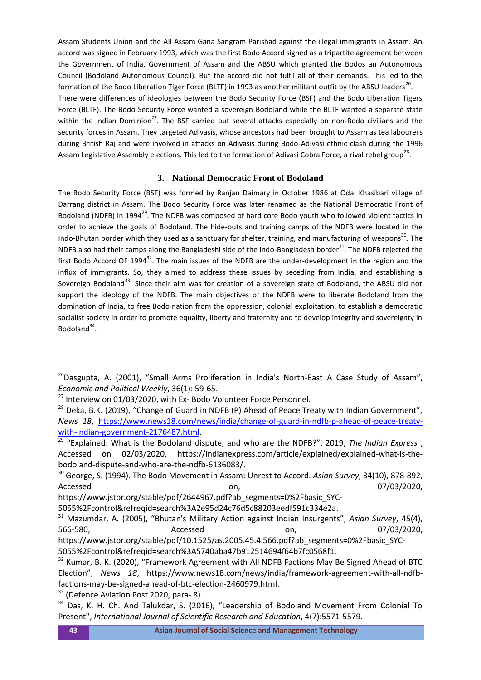Assam Students Union and the All Assam Gana Sangram Parishad against the illegal immigrants in Assam. An accord was signed in February 1993, which was the first Bodo Accord signed as a tripartite agreement between the Government of India, Government of Assam and the ABSU which granted the Bodos an Autonomous Council (Bodoland Autonomous Council). But the accord did not fulfil all of their demands. This led to the formation of the Bodo Liberation Tiger Force (BLTF) in 1993 as another militant outfit by the ABSU leaders<sup>26</sup>. There were differences of ideologies between the Bodo Security Force (BSF) and the Bodo Liberation Tigers Force (BLTF). The Bodo Security Force wanted a sovereign Bodoland while the BLTF wanted a separate state within the Indian Dominion<sup>27</sup>. The BSF carried out several attacks especially on non-Bodo civilians and the security forces in Assam. They targeted Adivasis, whose ancestors had been brought to Assam as tea labourers during British Raj and were involved in attacks on Adivasis during Bodo-Adivasi ethnic clash during the 1996 Assam Legislative Assembly elections. This led to the formation of Adivasi Cobra Force, a rival rebel group<sup>28</sup>.

# **3. National Democratic Front of Bodoland**

The Bodo Security Force (BSF) was formed by Ranjan Daimary in October 1986 at Odal Khasibari village of Darrang district in Assam. The Bodo Security Force was later renamed as the National Democratic Front of Bodoland (NDFB) in 1994<sup>29</sup>. The NDFB was composed of hard core Bodo youth who followed violent tactics in order to achieve the goals of Bodoland. The hide-outs and training camps of the NDFB were located in the Indo-Bhutan border which they used as a sanctuary for shelter, training, and manufacturing of weapons<sup>30</sup>. The NDFB also had their camps along the Bangladeshi side of the Indo-Bangladesh border<sup>31</sup>. The NDFB rejected the first Bodo Accord OF 1994<sup>32</sup>. The main issues of the NDFB are the under-development in the region and the influx of immigrants. So, they aimed to address these issues by seceding from India, and establishing a Sovereign Bodoland<sup>33</sup>. Since their aim was for creation of a sovereign state of Bodoland, the ABSU did not support the ideology of the NDFB. The main objectives of the NDFB were to liberate Bodoland from the domination of India, to free Bodo nation from the oppression, colonial exploitation, to establish a democratic socialist society in order to promote equality, liberty and fraternity and to develop integrity and sovereignty in Bodoland<sup>34</sup>.

<sup>30</sup> George, S. (1994). The Bodo Movement in Assam: Unrest to Accord. *Asian Survey*, 34(10), 878-892, Accessed **on,** 07/03/2020,

1

<sup>&</sup>lt;sup>26</sup>Dasgupta, A. (2001), "Small Arms Proliferation in India's North-East A Case Study of Assam", *Economic and Political Weekly*, 36(1): 59-65.

 $27$  Interview on 01/03/2020, with Ex- Bodo Volunteer Force Personnel.

<sup>&</sup>lt;sup>28</sup> Deka, B.K. (2019), "Change of Guard in NDFB (P) Ahead of Peace Treaty with Indian Government", *News 18*, [https://www.news18.com/news/india/change-of-guard-in-ndfb-p-ahead-of-peace-treaty](https://www.news18.com/news/india/change-of-guard-in-ndfb-p-ahead-of-peace-treaty-with-indian-government-2176487.html)[with-indian-government-2176487.html.](https://www.news18.com/news/india/change-of-guard-in-ndfb-p-ahead-of-peace-treaty-with-indian-government-2176487.html)

<sup>29</sup> "Explained: What is the Bodoland dispute, and who are the NDFB?", 2019, *The Indian Express* , Accessed on 02/03/2020, https://indianexpress.com/article/explained/explained-what-is-thebodoland-dispute-and-who-are-the-ndfb-6136083/.

https://www.jstor.org/stable/pdf/2644967.pdf?ab\_segments=0%2Fbasic\_SYC-

<sup>5055%2</sup>Fcontrol&refreqid=search%3A2e95d24c76d5c88203eedf591c334e2a.

<sup>31</sup> Mazumdar, A. (2005), "Bhutan's Military Action against Indian Insurgents", *Asian Survey*, 45(4), 566-580, Accessed on, 07/03/2020, 07/03/2020, 06-580, 07/03/2020, 07/03/2020, 07/03/2020, 07/03/2020, 07/03 https://www.jstor.org/stable/pdf/10.1525/as.2005.45.4.566.pdf?ab\_segments=0%2Fbasic\_SYC-

<sup>5055%2</sup>Fcontrol&refreqid=search%3A5740aba47b912514694f64b7fc0568f1.

<sup>&</sup>lt;sup>32</sup> Kumar, B. K. (2020), "Framework Agreement with All NDFB Factions May Be Signed Ahead of BTC Election", *News 18*, https://www.news18.com/news/india/framework-agreement-with-all-ndfbfactions-may-be-signed-ahead-of-btc-election-2460979.html.

<sup>&</sup>lt;sup>33</sup> (Defence Aviation Post 2020, para-8).

<sup>&</sup>lt;sup>34</sup> Das, K. H. Ch. And Talukdar, S. (2016), "Leadership of Bodoland Movement From Colonial To Present'', *International Journal of Scientific Research and Education*, 4(7):5571-5579.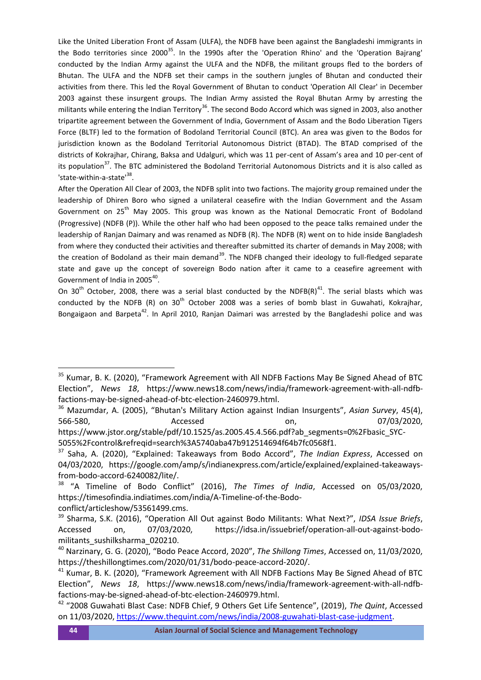Like the United Liberation Front of Assam (ULFA), the NDFB have been against the Bangladeshi immigrants in the Bodo territories since 2000<sup>35</sup>. In the 1990s after the 'Operation Rhino' and the 'Operation Bajrang' conducted by the Indian Army against the ULFA and the NDFB, the militant groups fled to the borders of Bhutan. The ULFA and the NDFB set their camps in the southern jungles of Bhutan and conducted their activities from there. This led the Royal Government of Bhutan to conduct 'Operation All Clear' in December 2003 against these insurgent groups. The Indian Army assisted the Royal Bhutan Army by arresting the militants while entering the Indian Territory<sup>36</sup>. The second Bodo Accord which was signed in 2003, also another tripartite agreement between the Government of India, Government of Assam and the Bodo Liberation Tigers Force (BLTF) led to the formation of Bodoland Territorial Council (BTC). An area was given to the Bodos for jurisdiction known as the Bodoland Territorial Autonomous District (BTAD). The BTAD comprised of the districts of Kokrajhar, Chirang, Baksa and Udalguri, which was 11 per-cent of Assam's area and 10 per-cent of its population<sup>37</sup>. The BTC administered the Bodoland Territorial Autonomous Districts and it is also called as 'state-within-a-state'<sup>38</sup>.

After the Operation All Clear of 2003, the NDFB split into two factions. The majority group remained under the leadership of Dhiren Boro who signed a unilateral ceasefire with the Indian Government and the Assam Government on 25<sup>th</sup> May 2005. This group was known as the National Democratic Front of Bodoland (Progressive) (NDFB (P)). While the other half who had been opposed to the peace talks remained under the leadership of Ranjan Daimary and was renamed as NDFB (R). The NDFB (R) went on to hide inside Bangladesh from where they conducted their activities and thereafter submitted its charter of demands in May 2008; with the creation of Bodoland as their main demand<sup>39</sup>. The NDFB changed their ideology to full-fledged separate state and gave up the concept of sovereign Bodo nation after it came to a ceasefire agreement with Government of India in 2005<sup>40</sup>.

On 30<sup>th</sup> October, 2008, there was a serial blast conducted by the NDFB(R)<sup>41</sup>. The serial blasts which was conducted by the NDFB (R) on  $30<sup>th</sup>$  October 2008 was a series of bomb blast in Guwahati, Kokrajhar, Bongaigaon and Barpeta<sup>42</sup>. In April 2010, Ranjan Daimari was arrested by the Bangladeshi police and was

1

<sup>&</sup>lt;sup>35</sup> Kumar, B. K. (2020), "Framework Agreement with All NDFB Factions May Be Signed Ahead of BTC Election", *News 18*, https://www.news18.com/news/india/framework-agreement-with-all-ndfbfactions-may-be-signed-ahead-of-btc-election-2460979.html.

<sup>36</sup> Mazumdar, A. (2005), "Bhutan's Military Action against Indian Insurgents", *Asian Survey*, 45(4), 566-580, Accessed on, 07/03/2020,

https://www.jstor.org/stable/pdf/10.1525/as.2005.45.4.566.pdf?ab\_segments=0%2Fbasic\_SYC-5055%2Fcontrol&refreqid=search%3A5740aba47b912514694f64b7fc0568f1.

<sup>37</sup> Saha, A. (2020), "Explained: Takeaways from Bodo Accord", *The Indian Express*, Accessed on 04/03/2020, https://google.com/amp/s/indianexpress.com/article/explained/explained-takeawaysfrom-bodo-accord-6240082/lite/.

<sup>38</sup> "A Timeline of Bodo Conflict" (2016), *The Times of India*, Accessed on 05/03/2020, https://timesofindia.indiatimes.com/india/A-Timeline-of-the-Bodoconflict/articleshow/53561499.cms.

<sup>39</sup> Sharma, S.K. (2016), "Operation All Out against Bodo Militants: What Next?", *IDSA Issue Briefs*, Accessed on, 07/03/2020, https://idsa.in/issuebrief/operation-all-out-against-bodomilitants sushilksharma 020210.

<sup>40</sup> Narzinary, G. G. (2020), "Bodo Peace Accord, 2020", *The Shillong Times*, Accessed on, 11/03/2020, https://theshillongtimes.com/2020/01/31/bodo-peace-accord-2020/.

<sup>&</sup>lt;sup>41</sup> Kumar, B. K. (2020), "Framework Agreement with All NDFB Factions May Be Signed Ahead of BTC Election", *News 18*, https://www.news18.com/news/india/framework-agreement-with-all-ndfbfactions-may-be-signed-ahead-of-btc-election-2460979.html.

<sup>42</sup> "2008 Guwahati Blast Case: NDFB Chief, 9 Others Get Life Sentence", (2019), *The Quint*, Accessed on 11/03/2020[, https://www.thequint.com/news/india/2008-guwahati-blast-case-judgment.](https://www.thequint.com/news/india/2008-guwahati-blast-case-judgment)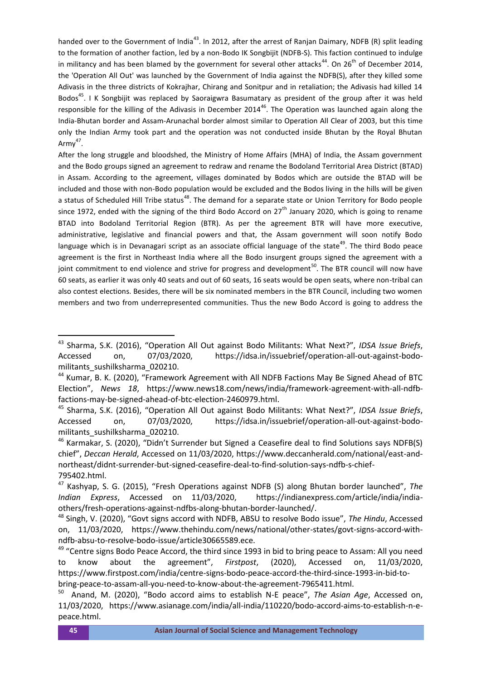handed over to the Government of India<sup>43</sup>. In 2012, after the arrest of Ranjan Daimary, NDFB (R) split leading to the formation of another faction, led by a non-Bodo IK Songbijit (NDFB-S). This faction continued to indulge in militancy and has been blamed by the government for several other attacks<sup>44</sup>. On 26<sup>th</sup> of December 2014, the 'Operation All Out' was launched by the Government of India against the NDFB(S), after they killed some Adivasis in the three districts of Kokrajhar, Chirang and Sonitpur and in retaliation; the Adivasis had killed 14 Bodos<sup>45</sup>. I K Songbijit was replaced by Saoraigwra Basumatary as president of the group after it was held responsible for the killing of the Adivasis in December 2014<sup>46</sup>. The Operation was launched again along the India-Bhutan border and Assam-Arunachal border almost similar to Operation All Clear of 2003, but this time only the Indian Army took part and the operation was not conducted inside Bhutan by the Royal Bhutan Army $47$ .

After the long struggle and bloodshed, the Ministry of Home Affairs (MHA) of India, the Assam government and the Bodo groups signed an agreement to redraw and rename the Bodoland Territorial Area District (BTAD) in Assam. According to the agreement, villages dominated by Bodos which are outside the BTAD will be included and those with non-Bodo population would be excluded and the Bodos living in the hills will be given a status of Scheduled Hill Tribe status<sup>48</sup>. The demand for a separate state or Union Territory for Bodo people since 1972, ended with the signing of the third Bodo Accord on  $27<sup>th</sup>$  January 2020, which is going to rename BTAD into Bodoland Territorial Region (BTR). As per the agreement BTR will have more executive, administrative, legislative and financial powers and that, the Assam government will soon notify Bodo language which is in Devanagari script as an associate official language of the state<sup>49</sup>. The third Bodo peace agreement is the first in Northeast India where all the Bodo insurgent groups signed the agreement with a joint commitment to end violence and strive for progress and development<sup>50</sup>. The BTR council will now have 60 seats, as earlier it was only 40 seats and out of 60 seats, 16 seats would be open seats, where non-tribal can also contest elections. Besides, there will be six nominated members in the BTR Council, including two women members and two from underrepresented communities. Thus the new Bodo Accord is going to address the

<sup>43</sup> Sharma, S.K. (2016), "Operation All Out against Bodo Militants: What Next?", *IDSA Issue Briefs*, Accessed on, 07/03/2020, https://idsa.in/issuebrief/operation-all-out-against-bodomilitants\_sushilksharma\_020210.

<sup>44</sup> Kumar, B. K. (2020), "Framework Agreement with All NDFB Factions May Be Signed Ahead of BTC Election", *News 18*, https://www.news18.com/news/india/framework-agreement-with-all-ndfbfactions-may-be-signed-ahead-of-btc-election-2460979.html.

<sup>45</sup> Sharma, S.K. (2016), "Operation All Out against Bodo Militants: What Next?", *IDSA Issue Briefs*, Accessed on, 07/03/2020, https://idsa.in/issuebrief/operation-all-out-against-bodomilitants sushilksharma 020210.

<sup>&</sup>lt;sup>46</sup> Karmakar, S. (2020), "Didn't Surrender but Signed a Ceasefire deal to find Solutions says NDFB(S) chief", *Deccan Herald*, Accessed on 11/03/2020, https://www.deccanherald.com/national/east-andnortheast/didnt-surrender-but-signed-ceasefire-deal-to-find-solution-says-ndfb-s-chief-795402.html.

<sup>47</sup> Kashyap, S. G. (2015), "Fresh Operations against NDFB (S) along Bhutan border launched", *The Indian Express*, Accessed on 11/03/2020, https://indianexpress.com/article/india/indiaothers/fresh-operations-against-ndfbs-along-bhutan-border-launched/.

<sup>48</sup> Singh, V. (2020), "Govt signs accord with NDFB, ABSU to resolve Bodo issue", *The Hindu*, Accessed on, 11/03/2020, https://www.thehindu.com/news/national/other-states/govt-signs-accord-withndfb-absu-to-resolve-bodo-issue/article30665589.ece.

<sup>&</sup>lt;sup>49</sup> "Centre signs Bodo Peace Accord, the third since 1993 in bid to bring peace to Assam: All you need to know about the agreement", *Firstpost*, (2020), Accessed on, 11/03/2020, https://www.firstpost.com/india/centre-signs-bodo-peace-accord-the-third-since-1993-in-bid-tobring-peace-to-assam-all-you-need-to-know-about-the-agreement-7965411.html.

<sup>50</sup> Anand, M. (2020), "Bodo accord aims to establish N-E peace", *The Asian Age*, Accessed on, 11/03/2020, https://www.asianage.com/india/all-india/110220/bodo-accord-aims-to-establish-n-epeace.html.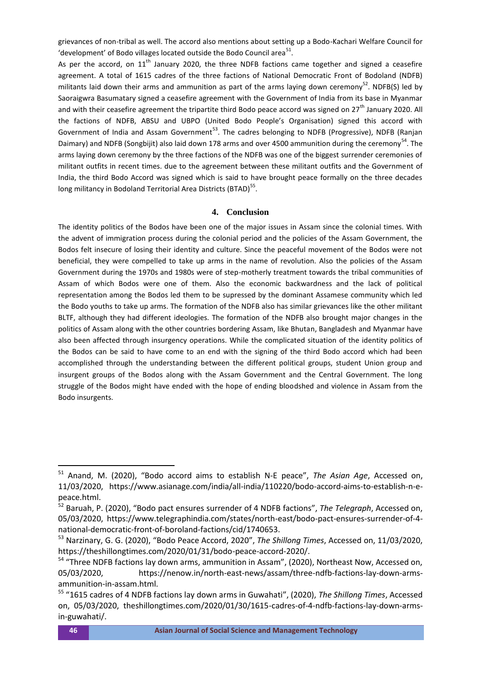grievances of non-tribal as well. The accord also mentions about setting up a Bodo-Kachari Welfare Council for 'development' of Bodo villages located outside the Bodo Council area $^{51}$ .

As per the accord, on  $11<sup>th</sup>$  January 2020, the three NDFB factions came together and signed a ceasefire agreement. A total of 1615 cadres of the three factions of National Democratic Front of Bodoland (NDFB) militants laid down their arms and ammunition as part of the arms laying down ceremony<sup>52</sup>. NDFB(S) led by Saoraigwra Basumatary signed a ceasefire agreement with the Government of India from its base in Myanmar and with their ceasefire agreement the tripartite third Bodo peace accord was signed on 27<sup>th</sup> January 2020. All the factions of NDFB, ABSU and UBPO (United Bodo People's Organisation) signed this accord with Government of India and Assam Government<sup>53</sup>. The cadres belonging to NDFB (Progressive), NDFB (Ranjan Daimary) and NDFB (Songbijit) also laid down 178 arms and over 4500 ammunition during the ceremony<sup>54</sup>. The arms laying down ceremony by the three factions of the NDFB was one of the biggest surrender ceremonies of militant outfits in recent times. due to the agreement between these militant outfits and the Government of India, the third Bodo Accord was signed which is said to have brought peace formally on the three decades long militancy in Bodoland Territorial Area Districts (BTAD)<sup>55</sup>.

#### **4. Conclusion**

The identity politics of the Bodos have been one of the major issues in Assam since the colonial times. With the advent of immigration process during the colonial period and the policies of the Assam Government, the Bodos felt insecure of losing their identity and culture. Since the peaceful movement of the Bodos were not beneficial, they were compelled to take up arms in the name of revolution. Also the policies of the Assam Government during the 1970s and 1980s were of step-motherly treatment towards the tribal communities of Assam of which Bodos were one of them. Also the economic backwardness and the lack of political representation among the Bodos led them to be supressed by the dominant Assamese community which led the Bodo youths to take up arms. The formation of the NDFB also has similar grievances like the other militant BLTF, although they had different ideologies. The formation of the NDFB also brought major changes in the politics of Assam along with the other countries bordering Assam, like Bhutan, Bangladesh and Myanmar have also been affected through insurgency operations. While the complicated situation of the identity politics of the Bodos can be said to have come to an end with the signing of the third Bodo accord which had been accomplished through the understanding between the different political groups, student Union group and insurgent groups of the Bodos along with the Assam Government and the Central Government. The long struggle of the Bodos might have ended with the hope of ending bloodshed and violence in Assam from the Bodo insurgents.

<sup>51</sup> Anand, M. (2020), "Bodo accord aims to establish N-E peace", *The Asian Age*, Accessed on, 11/03/2020, https://www.asianage.com/india/all-india/110220/bodo-accord-aims-to-establish-n-epeace.html.

<sup>52</sup> Baruah, P. (2020), "Bodo pact ensures surrender of 4 NDFB factions", *The Telegraph*, Accessed on, 05/03/2020, https://www.telegraphindia.com/states/north-east/bodo-pact-ensures-surrender-of-4 national-democratic-front-of-boroland-factions/cid/1740653.

<sup>53</sup> Narzinary, G. G. (2020), "Bodo Peace Accord, 2020", *The Shillong Times*, Accessed on, 11/03/2020, https://theshillongtimes.com/2020/01/31/bodo-peace-accord-2020/.

<sup>&</sup>lt;sup>54</sup> "Three NDFB factions lay down arms, ammunition in Assam", (2020), Northeast Now, Accessed on, 05/03/2020, https://nenow.in/north-east-news/assam/three-ndfb-factions-lay-down-armsammunition-in-assam.html.

<sup>55</sup> "1615 cadres of 4 NDFB factions lay down arms in Guwahati", (2020), *The Shillong Times*, Accessed on, 05/03/2020, theshillongtimes.com/2020/01/30/1615-cadres-of-4-ndfb-factions-lay-down-armsin-guwahati/.